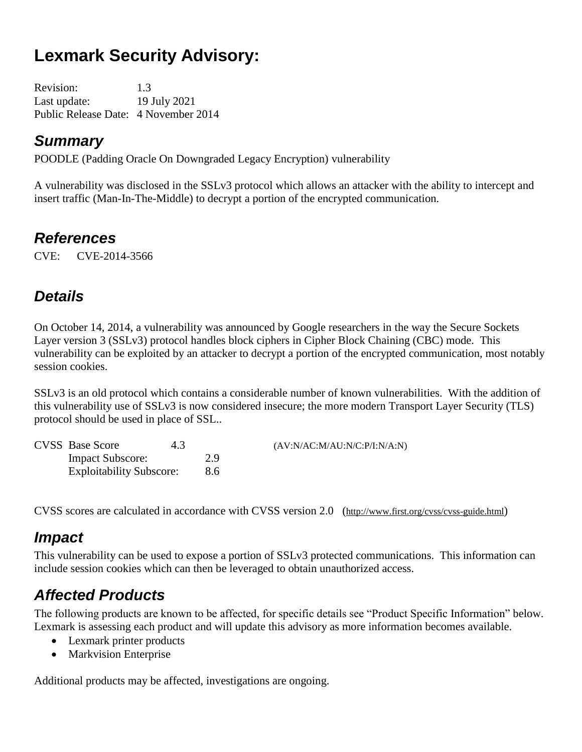# **Lexmark Security Advisory:**

Revision: 1.3 Last update: 19 July 2021 Public Release Date: 4 November 2014

### *Summary*

POODLE (Padding Oracle On Downgraded Legacy Encryption) vulnerability

A vulnerability was disclosed in the SSLv3 protocol which allows an attacker with the ability to intercept and insert traffic (Man-In-The-Middle) to decrypt a portion of the encrypted communication.

## *References*

CVE: CVE-2014-3566

# *Details*

On October 14, 2014, a vulnerability was announced by Google researchers in the way the Secure Sockets Layer version 3 (SSLv3) protocol handles block ciphers in Cipher Block Chaining (CBC) mode. This vulnerability can be exploited by an attacker to decrypt a portion of the encrypted communication, most notably session cookies.

SSLv3 is an old protocol which contains a considerable number of known vulnerabilities. With the addition of this vulnerability use of SSLv3 is now considered insecure; the more modern Transport Layer Security (TLS) protocol should be used in place of SSL..

| <b>CVSS</b> Base Score          | 4.3 |     | (AV:N/AC:M/AU:N/C:P/I:N/A:N) |
|---------------------------------|-----|-----|------------------------------|
| <b>Impact Subscore:</b>         |     | 2.9 |                              |
| <b>Exploitability Subscore:</b> |     | 8.6 |                              |

CVSS scores are calculated in accordance with CVSS version 2.0 (http://www.first.org/cvss/cvss-guide.html)

## *Impact*

This vulnerability can be used to expose a portion of SSLv3 protected communications. This information can include session cookies which can then be leveraged to obtain unauthorized access.

# *Affected Products*

The following products are known to be affected, for specific details see "Product Specific Information" below. Lexmark is assessing each product and will update this advisory as more information becomes available.

- Lexmark printer products
- Markvision Enterprise

Additional products may be affected, investigations are ongoing.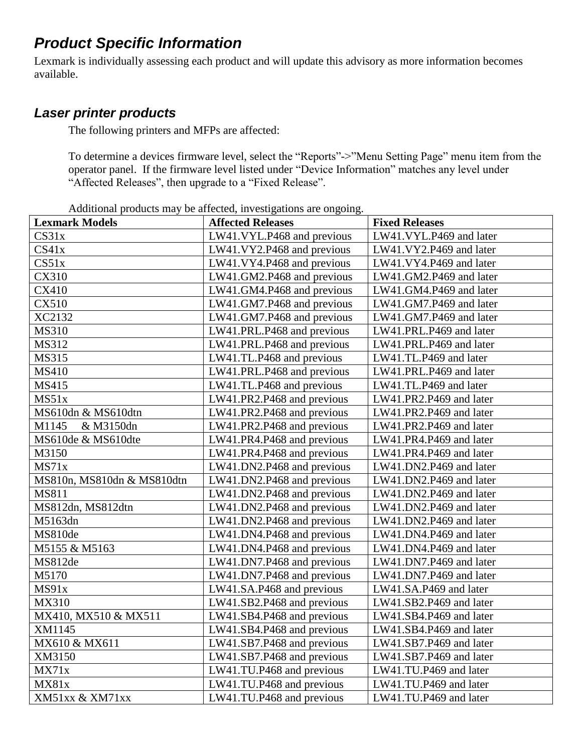## *Product Specific Information*

Lexmark is individually assessing each product and will update this advisory as more information becomes available.

### *Laser printer products*

The following printers and MFPs are affected:

To determine a devices firmware level, select the "Reports"->"Menu Setting Page" menu item from the operator panel. If the firmware level listed under "Device Information" matches any level under "Affected Releases", then upgrade to a "Fixed Release".

Additional products may be affected, investigations are ongoing.

| <b>Lexmark Models</b>      | <b>Affected Releases</b>   | <b>Fixed Releases</b>   |
|----------------------------|----------------------------|-------------------------|
| CS31x                      | LW41.VYL.P468 and previous | LW41.VYL.P469 and later |
| CS41x                      | LW41.VY2.P468 and previous | LW41.VY2.P469 and later |
| CS51x                      | LW41.VY4.P468 and previous | LW41.VY4.P469 and later |
| CX310                      | LW41.GM2.P468 and previous | LW41.GM2.P469 and later |
| CX410                      | LW41.GM4.P468 and previous | LW41.GM4.P469 and later |
| <b>CX510</b>               | LW41.GM7.P468 and previous | LW41.GM7.P469 and later |
| XC2132                     | LW41.GM7.P468 and previous | LW41.GM7.P469 and later |
| <b>MS310</b>               | LW41.PRL.P468 and previous | LW41.PRL.P469 and later |
| MS312                      | LW41.PRL.P468 and previous | LW41.PRL.P469 and later |
| MS315                      | LW41.TL.P468 and previous  | LW41.TL.P469 and later  |
| <b>MS410</b>               | LW41.PRL.P468 and previous | LW41.PRL.P469 and later |
| <b>MS415</b>               | LW41.TL.P468 and previous  | LW41.TL.P469 and later  |
| MS51x                      | LW41.PR2.P468 and previous | LW41.PR2.P469 and later |
| MS610dn & MS610dtn         | LW41.PR2.P468 and previous | LW41.PR2.P469 and later |
| M1145<br>& M3150dn         | LW41.PR2.P468 and previous | LW41.PR2.P469 and later |
| MS610de & MS610dte         | LW41.PR4.P468 and previous | LW41.PR4.P469 and later |
| M3150                      | LW41.PR4.P468 and previous | LW41.PR4.P469 and later |
| MS71x                      | LW41.DN2.P468 and previous | LW41.DN2.P469 and later |
| MS810n, MS810dn & MS810dtn | LW41.DN2.P468 and previous | LW41.DN2.P469 and later |
| <b>MS811</b>               | LW41.DN2.P468 and previous | LW41.DN2.P469 and later |
| MS812dn, MS812dtn          | LW41.DN2.P468 and previous | LW41.DN2.P469 and later |
| M5163dn                    | LW41.DN2.P468 and previous | LW41.DN2.P469 and later |
| MS810de                    | LW41.DN4.P468 and previous | LW41.DN4.P469 and later |
| M5155 & M5163              | LW41.DN4.P468 and previous | LW41.DN4.P469 and later |
| MS812de                    | LW41.DN7.P468 and previous | LW41.DN7.P469 and later |
| M5170                      | LW41.DN7.P468 and previous | LW41.DN7.P469 and later |
| MS91x                      | LW41.SA.P468 and previous  | LW41.SA.P469 and later  |
| <b>MX310</b>               | LW41.SB2.P468 and previous | LW41.SB2.P469 and later |
| MX410, MX510 & MX511       | LW41.SB4.P468 and previous | LW41.SB4.P469 and later |
| XM1145                     | LW41.SB4.P468 and previous | LW41.SB4.P469 and later |
| MX610 & MX611              | LW41.SB7.P468 and previous | LW41.SB7.P469 and later |
| XM3150                     | LW41.SB7.P468 and previous | LW41.SB7.P469 and later |
| MX71x                      | LW41.TU.P468 and previous  | LW41.TU.P469 and later  |
| <b>MX81x</b>               | LW41.TU.P468 and previous  | LW41.TU.P469 and later  |
| XM51xx & XM71xx            | LW41.TU.P468 and previous  | LW41.TU.P469 and later  |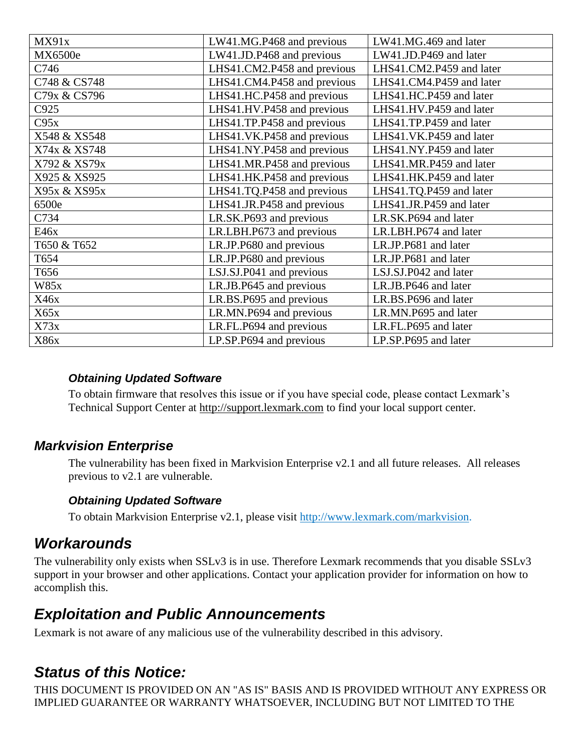| MX91x        | LW41.MG.P468 and previous   | LW41.MG.469 and later    |
|--------------|-----------------------------|--------------------------|
| MX6500e      | LW41.JD.P468 and previous   | LW41.JD.P469 and later   |
| C746         | LHS41.CM2.P458 and previous | LHS41.CM2.P459 and later |
| C748 & CS748 | LHS41.CM4.P458 and previous | LHS41.CM4.P459 and later |
| C79x & CS796 | LHS41.HC.P458 and previous  | LHS41.HC.P459 and later  |
| C925         | LHS41.HV.P458 and previous  | LHS41.HV.P459 and later  |
| C95x         | LHS41.TP.P458 and previous  | LHS41.TP.P459 and later  |
| X548 & XS548 | LHS41.VK.P458 and previous  | LHS41.VK.P459 and later  |
| X74x & XS748 | LHS41.NY.P458 and previous  | LHS41.NY.P459 and later  |
| X792 & XS79x | LHS41.MR.P458 and previous  | LHS41.MR.P459 and later  |
| X925 & XS925 | LHS41.HK.P458 and previous  | LHS41.HK.P459 and later  |
| X95x & XS95x | LHS41.TQ.P458 and previous  | LHS41.TQ.P459 and later  |
| 6500e        | LHS41.JR.P458 and previous  | LHS41.JR.P459 and later  |
| C734         | LR.SK.P693 and previous     | LR.SK.P694 and later     |
| E46x         | LR.LBH.P673 and previous    | LR.LBH.P674 and later    |
| T650 & T652  | LR.JP.P680 and previous     | LR.JP.P681 and later     |
| T654         | LR.JP.P680 and previous     | LR.JP.P681 and later     |
| T656         | LSJ.SJ.P041 and previous    | LSJ.SJ.P042 and later    |
| <b>W85x</b>  | LR.JB.P645 and previous     | LR.JB.P646 and later     |
| X46x         | LR.BS.P695 and previous     | LR.BS.P696 and later     |
| X65x         | LR.MN.P694 and previous     | LR.MN.P695 and later     |
| X73x         | LR.FL.P694 and previous     | LR.FL.P695 and later     |
| X86x         | LP.SP.P694 and previous     | LP.SP.P695 and later     |

#### *Obtaining Updated Software*

To obtain firmware that resolves this issue or if you have special code, please contact Lexmark's Technical Support Center at [http://support.lexmark.com](http://support.lexmark.com/) to find your local support center.

### *Markvision Enterprise*

The vulnerability has been fixed in Markvision Enterprise v2.1 and all future releases. All releases previous to v2.1 are vulnerable.

### *Obtaining Updated Software*

To obtain Markvision Enterprise v2.1, please visit http://www.lexmark.com/markvision.

### *Workarounds*

The vulnerability only exists when SSLv3 is in use. Therefore Lexmark recommends that you disable SSLv3 support in your browser and other applications. Contact your application provider for information on how to accomplish this.

### *Exploitation and Public Announcements*

Lexmark is not aware of any malicious use of the vulnerability described in this advisory.

### *Status of this Notice:*

THIS DOCUMENT IS PROVIDED ON AN "AS IS" BASIS AND IS PROVIDED WITHOUT ANY EXPRESS OR IMPLIED GUARANTEE OR WARRANTY WHATSOEVER, INCLUDING BUT NOT LIMITED TO THE